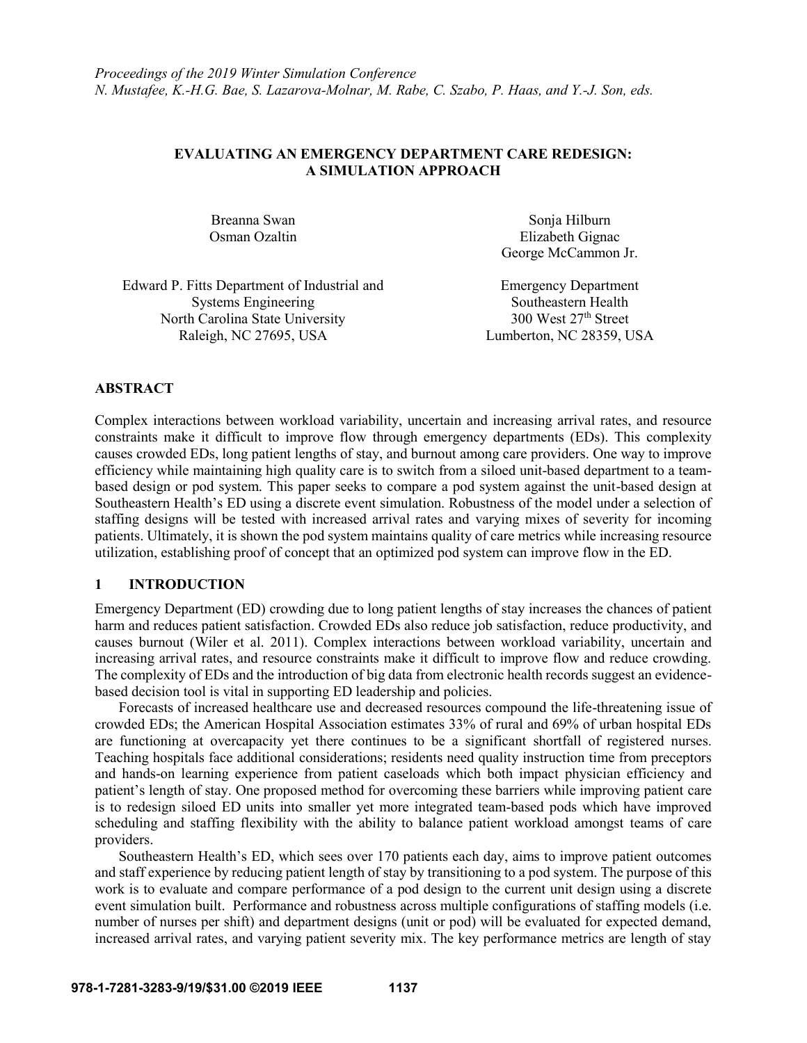## **EVALUATING AN EMERGENCY DEPARTMENT CARE REDESIGN: A SIMULATION APPROACH**

Breanna Swan Sonja Hilburn Osman Ozaltin Elizabeth Gignac George McCammon Jr.

Edward P. Fitts Department of Industrial and Systems Engineering North Carolina State University 300 West 27<sup>th</sup> Street Raleigh, NC 27695, USA Lumberton, NC 28359, USA

Emergency Department Southeastern Health

## **ABSTRACT**

Complex interactions between workload variability, uncertain and increasing arrival rates, and resource constraints make it difficult to improve flow through emergency departments (EDs). This complexity causes crowded EDs, long patient lengths of stay, and burnout among care providers. One way to improve efficiency while maintaining high quality care is to switch from a siloed unit-based department to a teambased design or pod system. This paper seeks to compare a pod system against the unit-based design at Southeastern Health's ED using a discrete event simulation. Robustness of the model under a selection of staffing designs will be tested with increased arrival rates and varying mixes of severity for incoming patients. Ultimately, it is shown the pod system maintains quality of care metrics while increasing resource utilization, establishing proof of concept that an optimized pod system can improve flow in the ED.

## **1 INTRODUCTION**

Emergency Department (ED) crowding due to long patient lengths of stay increases the chances of patient harm and reduces patient satisfaction. Crowded EDs also reduce job satisfaction, reduce productivity, and causes burnout (Wiler et al. 2011). Complex interactions between workload variability, uncertain and increasing arrival rates, and resource constraints make it difficult to improve flow and reduce crowding. The complexity of EDs and the introduction of big data from electronic health records suggest an evidencebased decision tool is vital in supporting ED leadership and policies.

Forecasts of increased healthcare use and decreased resources compound the life-threatening issue of crowded EDs; the American Hospital Association estimates 33% of rural and 69% of urban hospital EDs are functioning at overcapacity yet there continues to be a significant shortfall of registered nurses. Teaching hospitals face additional considerations; residents need quality instruction time from preceptors and hands-on learning experience from patient caseloads which both impact physician efficiency and patient's length of stay. One proposed method for overcoming these barriers while improving patient care is to redesign siloed ED units into smaller yet more integrated team-based pods which have improved scheduling and staffing flexibility with the ability to balance patient workload amongst teams of care providers.

Southeastern Health's ED, which sees over 170 patients each day, aims to improve patient outcomes and staff experience by reducing patient length of stay by transitioning to a pod system. The purpose of this work is to evaluate and compare performance of a pod design to the current unit design using a discrete event simulation built. Performance and robustness across multiple configurations of staffing models (i.e. number of nurses per shift) and department designs (unit or pod) will be evaluated for expected demand, increased arrival rates, and varying patient severity mix. The key performance metrics are length of stay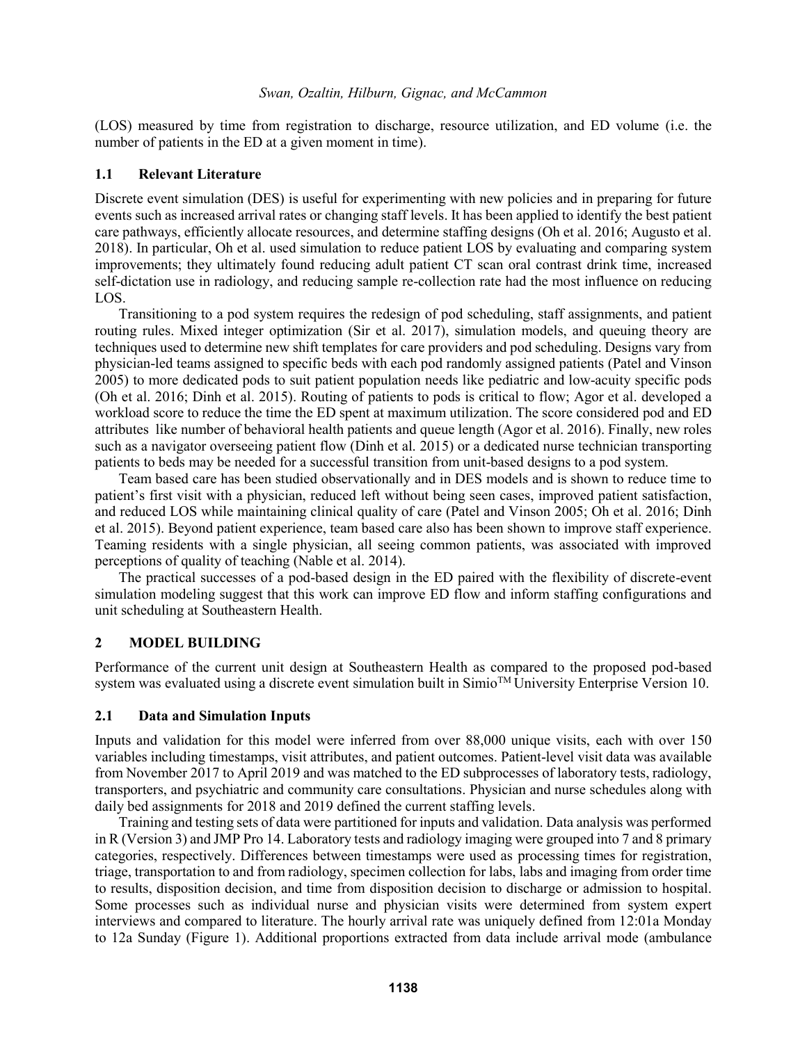(LOS) measured by time from registration to discharge, resource utilization, and ED volume (i.e. the number of patients in the ED at a given moment in time).

### **1.1 Relevant Literature**

Discrete event simulation (DES) is useful for experimenting with new policies and in preparing for future events such as increased arrival rates or changing staff levels. It has been applied to identify the best patient care pathways, efficiently allocate resources, and determine staffing designs (Oh et al. 2016; Augusto et al. 2018). In particular, Oh et al. used simulation to reduce patient LOS by evaluating and comparing system improvements; they ultimately found reducing adult patient CT scan oral contrast drink time, increased self-dictation use in radiology, and reducing sample re-collection rate had the most influence on reducing LOS.

Transitioning to a pod system requires the redesign of pod scheduling, staff assignments, and patient routing rules. Mixed integer optimization (Sir et al. 2017), simulation models, and queuing theory are techniques used to determine new shift templates for care providers and pod scheduling. Designs vary from physician-led teams assigned to specific beds with each pod randomly assigned patients (Patel and Vinson 2005) to more dedicated pods to suit patient population needs like pediatric and low-acuity specific pods (Oh et al. 2016; Dinh et al. 2015). Routing of patients to pods is critical to flow; Agor et al. developed a workload score to reduce the time the ED spent at maximum utilization. The score considered pod and ED attributes like number of behavioral health patients and queue length (Agor et al. 2016). Finally, new roles such as a navigator overseeing patient flow (Dinh et al. 2015) or a dedicated nurse technician transporting patients to beds may be needed for a successful transition from unit-based designs to a pod system.

Team based care has been studied observationally and in DES models and is shown to reduce time to patient's first visit with a physician, reduced left without being seen cases, improved patient satisfaction, and reduced LOS while maintaining clinical quality of care (Patel and Vinson 2005; Oh et al. 2016; Dinh et al. 2015). Beyond patient experience, team based care also has been shown to improve staff experience. Teaming residents with a single physician, all seeing common patients, was associated with improved perceptions of quality of teaching (Nable et al. 2014).

The practical successes of a pod-based design in the ED paired with the flexibility of discrete-event simulation modeling suggest that this work can improve ED flow and inform staffing configurations and unit scheduling at Southeastern Health.

## **2 MODEL BUILDING**

Performance of the current unit design at Southeastern Health as compared to the proposed pod-based system was evaluated using a discrete event simulation built in Simio<sup>TM</sup> University Enterprise Version 10.

## **2.1 Data and Simulation Inputs**

Inputs and validation for this model were inferred from over 88,000 unique visits, each with over 150 variables including timestamps, visit attributes, and patient outcomes. Patient-level visit data was available from November 2017 to April 2019 and was matched to the ED subprocesses of laboratory tests, radiology, transporters, and psychiatric and community care consultations. Physician and nurse schedules along with daily bed assignments for 2018 and 2019 defined the current staffing levels.

Training and testing sets of data were partitioned for inputs and validation. Data analysis was performed in R (Version 3) and JMP Pro 14. Laboratory tests and radiology imaging were grouped into 7 and 8 primary categories, respectively. Differences between timestamps were used as processing times for registration, triage, transportation to and from radiology, specimen collection for labs, labs and imaging from order time to results, disposition decision, and time from disposition decision to discharge or admission to hospital. Some processes such as individual nurse and physician visits were determined from system expert interviews and compared to literature. The hourly arrival rate was uniquely defined from 12:01a Monday to 12a Sunday (Figure 1). Additional proportions extracted from data include arrival mode (ambulance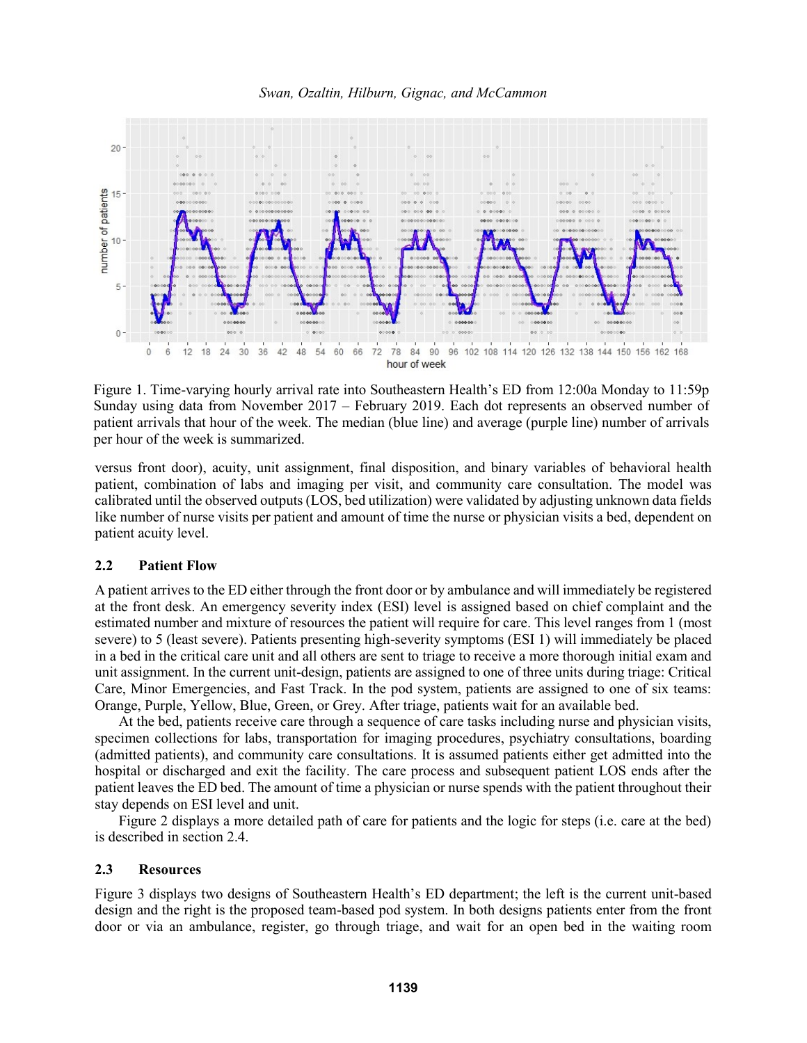



Figure 1. Time-varying hourly arrival rate into Southeastern Health's ED from 12:00a Monday to 11:59p Sunday using data from November 2017 – February 2019. Each dot represents an observed number of patient arrivals that hour of the week. The median (blue line) and average (purple line) number of arrivals per hour of the week is summarized.

versus front door), acuity, unit assignment, final disposition, and binary variables of behavioral health patient, combination of labs and imaging per visit, and community care consultation. The model was calibrated until the observed outputs (LOS, bed utilization) were validated by adjusting unknown data fields like number of nurse visits per patient and amount of time the nurse or physician visits a bed, dependent on patient acuity level.

## **2.2 Patient Flow**

A patient arrives to the ED either through the front door or by ambulance and will immediately be registered at the front desk. An emergency severity index (ESI) level is assigned based on chief complaint and the estimated number and mixture of resources the patient will require for care. This level ranges from 1 (most severe) to 5 (least severe). Patients presenting high-severity symptoms (ESI 1) will immediately be placed in a bed in the critical care unit and all others are sent to triage to receive a more thorough initial exam and unit assignment. In the current unit-design, patients are assigned to one of three units during triage: Critical Care, Minor Emergencies, and Fast Track. In the pod system, patients are assigned to one of six teams: Orange, Purple, Yellow, Blue, Green, or Grey. After triage, patients wait for an available bed.

At the bed, patients receive care through a sequence of care tasks including nurse and physician visits, specimen collections for labs, transportation for imaging procedures, psychiatry consultations, boarding (admitted patients), and community care consultations. It is assumed patients either get admitted into the hospital or discharged and exit the facility. The care process and subsequent patient LOS ends after the patient leaves the ED bed. The amount of time a physician or nurse spends with the patient throughout their stay depends on ESI level and unit.

Figure 2 displays a more detailed path of care for patients and the logic for steps (i.e. care at the bed) is described in section 2.4.

### **2.3 Resources**

Figure 3 displays two designs of Southeastern Health's ED department; the left is the current unit-based design and the right is the proposed team-based pod system. In both designs patients enter from the front door or via an ambulance, register, go through triage, and wait for an open bed in the waiting room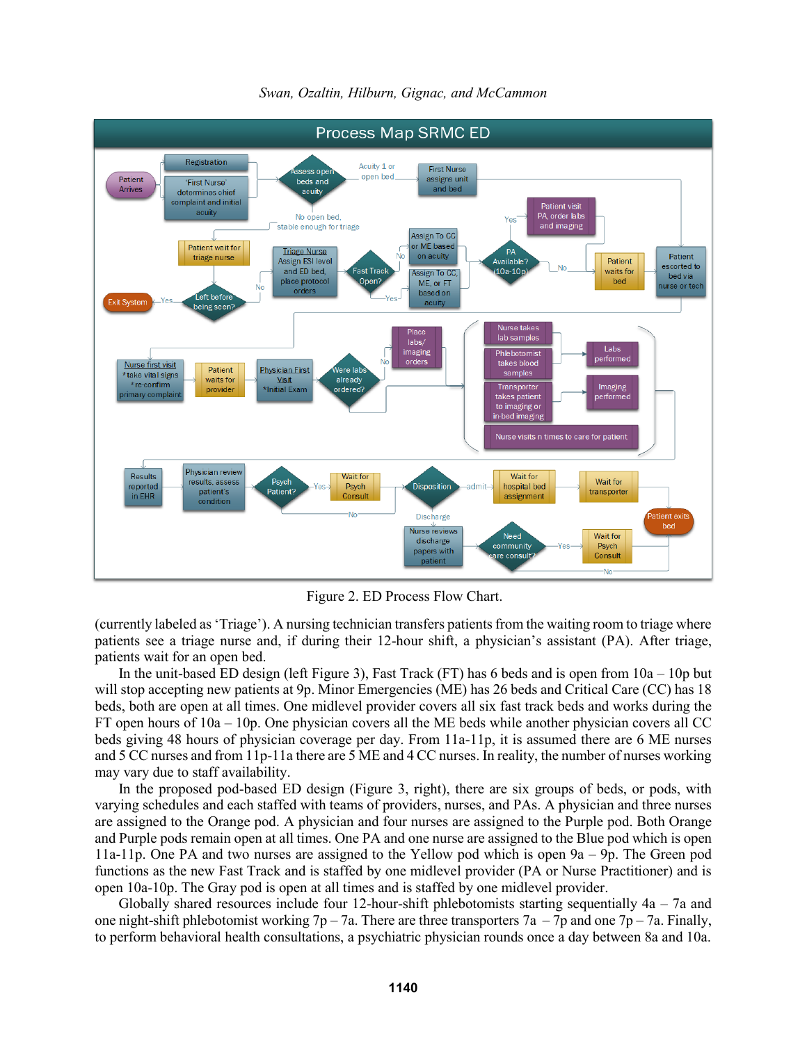

*Swan, Ozaltin, Hilburn, Gignac, and McCammon*

Figure 2. ED Process Flow Chart.

(currently labeled as 'Triage'). A nursing technician transfers patients from the waiting room to triage where patients see a triage nurse and, if during their 12-hour shift, a physician's assistant (PA). After triage, patients wait for an open bed.

In the unit-based ED design (left Figure 3), Fast Track (FT) has 6 beds and is open from  $10a - 10p$  but will stop accepting new patients at 9p. Minor Emergencies (ME) has 26 beds and Critical Care (CC) has 18 beds, both are open at all times. One midlevel provider covers all six fast track beds and works during the FT open hours of 10a – 10p. One physician covers all the ME beds while another physician covers all CC beds giving 48 hours of physician coverage per day. From 11a-11p, it is assumed there are 6 ME nurses and 5 CC nurses and from 11p-11a there are 5 ME and 4 CC nurses. In reality, the number of nurses working may vary due to staff availability.

In the proposed pod-based ED design (Figure 3, right), there are six groups of beds, or pods, with varying schedules and each staffed with teams of providers, nurses, and PAs. A physician and three nurses are assigned to the Orange pod. A physician and four nurses are assigned to the Purple pod. Both Orange and Purple pods remain open at all times. One PA and one nurse are assigned to the Blue pod which is open 11a-11p. One PA and two nurses are assigned to the Yellow pod which is open 9a – 9p. The Green pod functions as the new Fast Track and is staffed by one midlevel provider (PA or Nurse Practitioner) and is open 10a-10p. The Gray pod is open at all times and is staffed by one midlevel provider.

Globally shared resources include four 12-hour-shift phlebotomists starting sequentially  $4a - 7a$  and one night-shift phlebotomist working  $7p - 7a$ . There are three transporters  $7a - 7p$  and one  $7p - 7a$ . Finally, to perform behavioral health consultations, a psychiatric physician rounds once a day between 8a and 10a.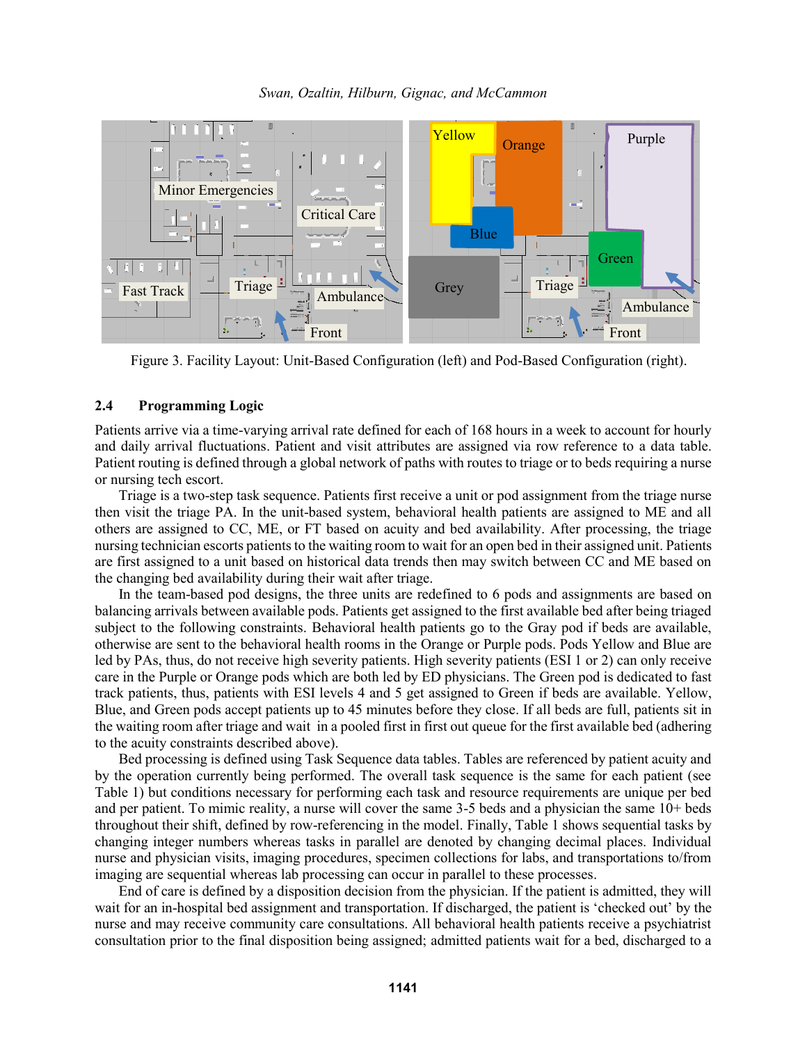



Figure 3. Facility Layout: Unit-Based Configuration (left) and Pod-Based Configuration (right).

## **2.4 Programming Logic**

Patients arrive via a time-varying arrival rate defined for each of 168 hours in a week to account for hourly and daily arrival fluctuations. Patient and visit attributes are assigned via row reference to a data table. Patient routing is defined through a global network of paths with routes to triage or to beds requiring a nurse or nursing tech escort.

Triage is a two-step task sequence. Patients first receive a unit or pod assignment from the triage nurse then visit the triage PA. In the unit-based system, behavioral health patients are assigned to ME and all others are assigned to CC, ME, or FT based on acuity and bed availability. After processing, the triage nursing technician escorts patients to the waiting room to wait for an open bed in their assigned unit. Patients are first assigned to a unit based on historical data trends then may switch between CC and ME based on the changing bed availability during their wait after triage.

In the team-based pod designs, the three units are redefined to 6 pods and assignments are based on balancing arrivals between available pods. Patients get assigned to the first available bed after being triaged subject to the following constraints. Behavioral health patients go to the Gray pod if beds are available, otherwise are sent to the behavioral health rooms in the Orange or Purple pods. Pods Yellow and Blue are led by PAs, thus, do not receive high severity patients. High severity patients (ESI 1 or 2) can only receive care in the Purple or Orange pods which are both led by ED physicians. The Green pod is dedicated to fast track patients, thus, patients with ESI levels 4 and 5 get assigned to Green if beds are available. Yellow, Blue, and Green pods accept patients up to 45 minutes before they close. If all beds are full, patients sit in the waiting room after triage and wait in a pooled first in first out queue for the first available bed (adhering to the acuity constraints described above).

Bed processing is defined using Task Sequence data tables. Tables are referenced by patient acuity and by the operation currently being performed. The overall task sequence is the same for each patient (see Table 1) but conditions necessary for performing each task and resource requirements are unique per bed and per patient. To mimic reality, a nurse will cover the same 3-5 beds and a physician the same 10+ beds throughout their shift, defined by row-referencing in the model. Finally, Table 1 shows sequential tasks by changing integer numbers whereas tasks in parallel are denoted by changing decimal places. Individual nurse and physician visits, imaging procedures, specimen collections for labs, and transportations to/from imaging are sequential whereas lab processing can occur in parallel to these processes.

End of care is defined by a disposition decision from the physician. If the patient is admitted, they will wait for an in-hospital bed assignment and transportation. If discharged, the patient is 'checked out' by the nurse and may receive community care consultations. All behavioral health patients receive a psychiatrist consultation prior to the final disposition being assigned; admitted patients wait for a bed, discharged to a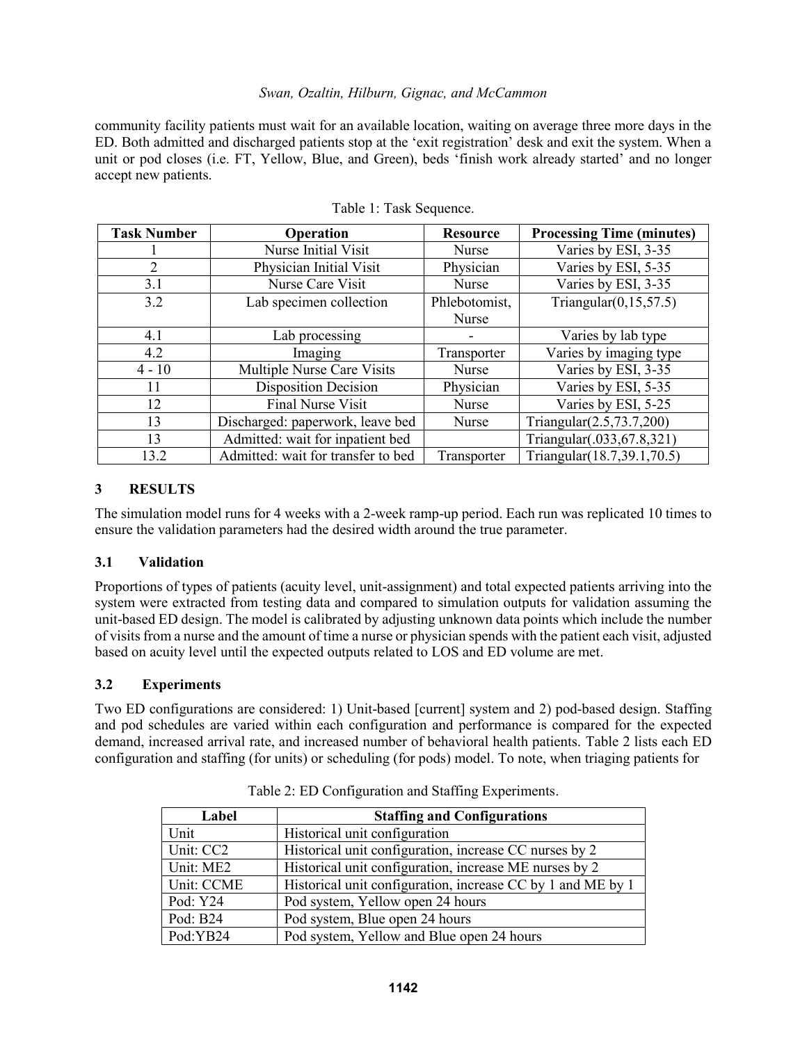## *Swan, Ozaltin, Hilburn, Gignac, and McCammon*

community facility patients must wait for an available location, waiting on average three more days in the ED. Both admitted and discharged patients stop at the 'exit registration' desk and exit the system. When a unit or pod closes (i.e. FT, Yellow, Blue, and Green), beds 'finish work already started' and no longer accept new patients.

| <b>Task Number</b> | Operation                          | <b>Resource</b> | <b>Processing Time (minutes)</b> |
|--------------------|------------------------------------|-----------------|----------------------------------|
|                    | Nurse Initial Visit                | Nurse           | Varies by ESI, 3-35              |
| 2                  | Physician Initial Visit            | Physician       | Varies by ESI, 5-35              |
| 3.1                | Nurse Care Visit                   | Nurse           | Varies by ESI, 3-35              |
| 3.2                | Lab specimen collection            | Phlebotomist,   | Triangular $(0,15,57.5)$         |
|                    |                                    | Nurse           |                                  |
| 4.1                | Lab processing                     |                 | Varies by lab type               |
| 4.2                | Imaging                            | Transporter     | Varies by imaging type           |
| $4 - 10$           | Multiple Nurse Care Visits         | Nurse           | Varies by ESI, 3-35              |
| 11                 | <b>Disposition Decision</b>        | Physician       | Varies by ESI, 5-35              |
| 12                 | <b>Final Nurse Visit</b>           | Nurse           | Varies by ESI, 5-25              |
| 13                 | Discharged: paperwork, leave bed   | Nurse           | Triangular $(2.5, 73.7, 200)$    |
| 13                 | Admitted: wait for inpatient bed   |                 | Triangular(.033,67.8,321)        |
| 13.2               | Admitted: wait for transfer to bed | Transporter     | Triangular(18.7,39.1,70.5)       |

Table 1: Task Sequence.

# **3 RESULTS**

The simulation model runs for 4 weeks with a 2-week ramp-up period. Each run was replicated 10 times to ensure the validation parameters had the desired width around the true parameter.

## **3.1 Validation**

Proportions of types of patients (acuity level, unit-assignment) and total expected patients arriving into the system were extracted from testing data and compared to simulation outputs for validation assuming the unit-based ED design. The model is calibrated by adjusting unknown data points which include the number of visitsfrom a nurse and the amount of time a nurse or physician spends with the patient each visit, adjusted based on acuity level until the expected outputs related to LOS and ED volume are met.

# **3.2 Experiments**

Two ED configurations are considered: 1) Unit-based [current] system and 2) pod-based design. Staffing and pod schedules are varied within each configuration and performance is compared for the expected demand, increased arrival rate, and increased number of behavioral health patients. Table 2 lists each ED configuration and staffing (for units) or scheduling (for pods) model. To note, when triaging patients for

| Label      | <b>Staffing and Configurations</b>                          |  |
|------------|-------------------------------------------------------------|--|
| Unit       | Historical unit configuration                               |  |
| Unit: CC2  | Historical unit configuration, increase CC nurses by 2      |  |
| Unit: ME2  | Historical unit configuration, increase ME nurses by 2      |  |
| Unit: CCME | Historical unit configuration, increase CC by 1 and ME by 1 |  |
| Pod: Y24   | Pod system, Yellow open 24 hours                            |  |
| Pod: B24   | Pod system, Blue open 24 hours                              |  |
| Pod:YB24   | Pod system, Yellow and Blue open 24 hours                   |  |

Table 2: ED Configuration and Staffing Experiments.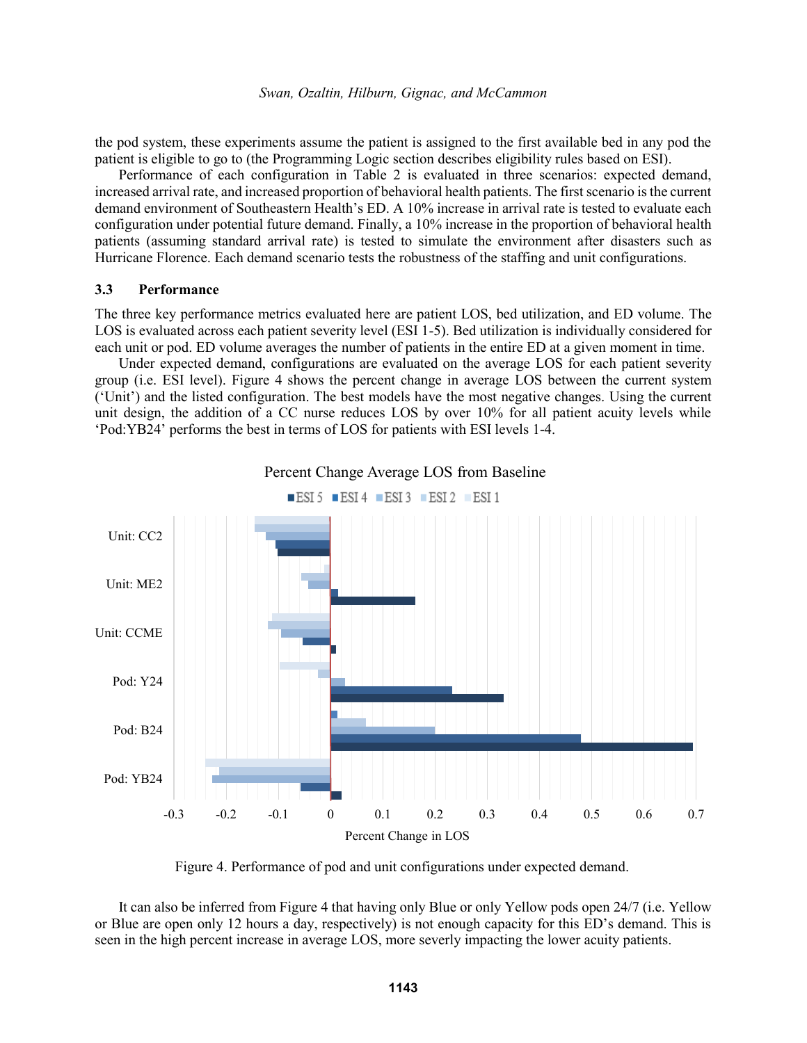the pod system, these experiments assume the patient is assigned to the first available bed in any pod the patient is eligible to go to (the Programming Logic section describes eligibility rules based on ESI).

Performance of each configuration in Table 2 is evaluated in three scenarios: expected demand, increased arrival rate, and increased proportion of behavioral health patients. The first scenario is the current demand environment of Southeastern Health's ED. A 10% increase in arrival rate is tested to evaluate each configuration under potential future demand. Finally, a 10% increase in the proportion of behavioral health patients (assuming standard arrival rate) is tested to simulate the environment after disasters such as Hurricane Florence. Each demand scenario tests the robustness of the staffing and unit configurations.

### **3.3 Performance**

The three key performance metrics evaluated here are patient LOS, bed utilization, and ED volume. The LOS is evaluated across each patient severity level (ESI 1-5). Bed utilization is individually considered for each unit or pod. ED volume averages the number of patients in the entire ED at a given moment in time.

Under expected demand, configurations are evaluated on the average LOS for each patient severity group (i.e. ESI level). Figure 4 shows the percent change in average LOS between the current system ('Unit') and the listed configuration. The best models have the most negative changes. Using the current unit design, the addition of a CC nurse reduces LOS by over 10% for all patient acuity levels while 'Pod:YB24' performs the best in terms of LOS for patients with ESI levels 1-4.





Figure 4. Performance of pod and unit configurations under expected demand.

It can also be inferred from Figure 4 that having only Blue or only Yellow pods open 24/7 (i.e. Yellow or Blue are open only 12 hours a day, respectively) is not enough capacity for this ED's demand. This is seen in the high percent increase in average LOS, more severly impacting the lower acuity patients.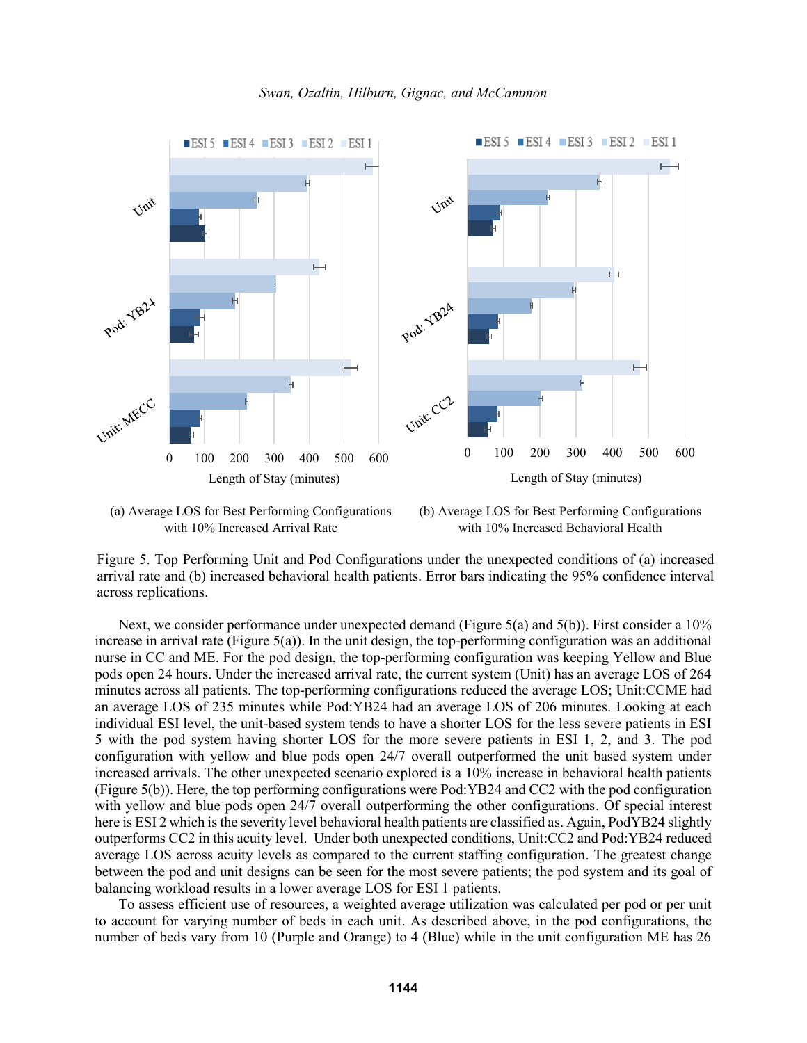

*Swan, Ozaltin, Hilburn, Gignac, and McCammon*





Figure 5. Top Performing Unit and Pod Configurations under the unexpected conditions of (a) increased arrival rate and (b) increased behavioral health patients. Error bars indicating the 95% confidence interval across replications.

Next, we consider performance under unexpected demand (Figure 5(a) and 5(b)). First consider a 10% increase in arrival rate (Figure 5(a)). In the unit design, the top-performing configuration was an additional nurse in CC and ME. For the pod design, the top-performing configuration was keeping Yellow and Blue pods open 24 hours. Under the increased arrival rate, the current system (Unit) has an average LOS of 264 minutes across all patients. The top-performing configurations reduced the average LOS; Unit:CCME had an average LOS of 235 minutes while Pod:YB24 had an average LOS of 206 minutes. Looking at each individual ESI level, the unit-based system tends to have a shorter LOS for the less severe patients in ESI 5 with the pod system having shorter LOS for the more severe patients in ESI 1, 2, and 3. The pod configuration with yellow and blue pods open 24/7 overall outperformed the unit based system under increased arrivals. The other unexpected scenario explored is a 10% increase in behavioral health patients (Figure 5(b)). Here, the top performing configurations were Pod:YB24 and CC2 with the pod configuration with yellow and blue pods open 24/7 overall outperforming the other configurations. Of special interest here is ESI 2 which is the severity level behavioral health patients are classified as. Again, PodYB24 slightly outperforms CC2 in this acuity level. Under both unexpected conditions, Unit:CC2 and Pod:YB24 reduced average LOS across acuity levels as compared to the current staffing configuration. The greatest change between the pod and unit designs can be seen for the most severe patients; the pod system and its goal of balancing workload results in a lower average LOS for ESI 1 patients.

To assess efficient use of resources, a weighted average utilization was calculated per pod or per unit to account for varying number of beds in each unit. As described above, in the pod configurations, the number of beds vary from 10 (Purple and Orange) to 4 (Blue) while in the unit configuration ME has 26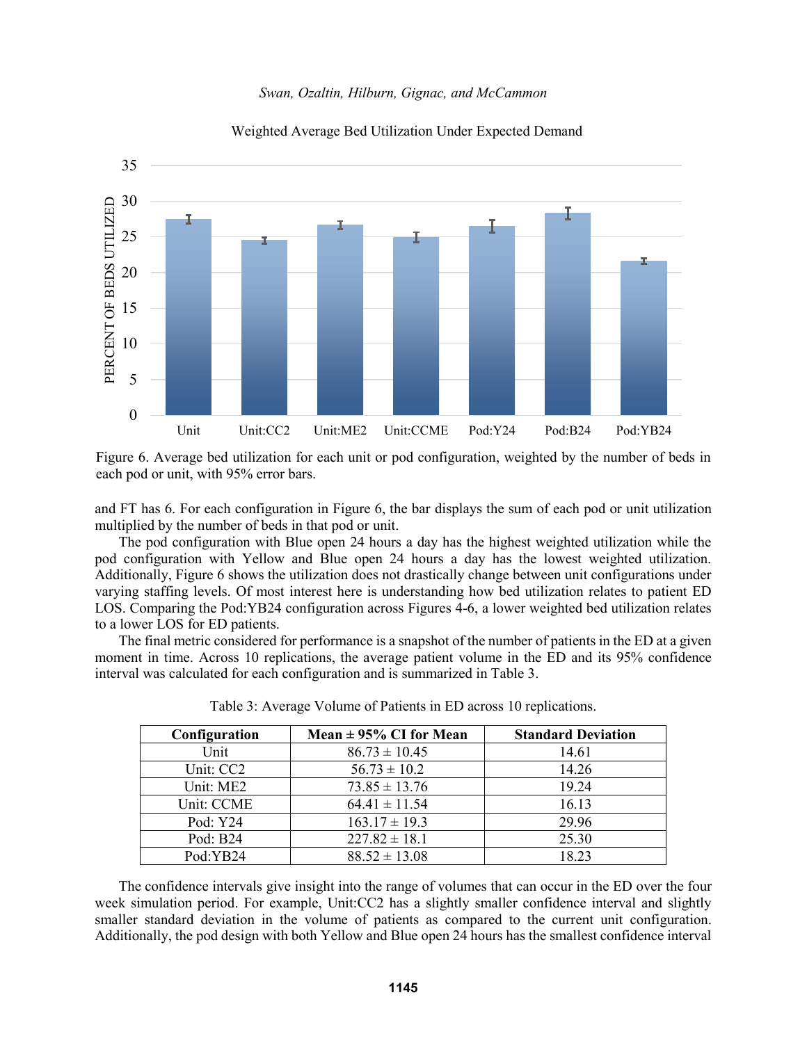



# Weighted Average Bed Utilization Under Expected Demand

Figure 6. Average bed utilization for each unit or pod configuration, weighted by the number of beds in each pod or unit, with 95% error bars.

and FT has 6. For each configuration in Figure 6, the bar displays the sum of each pod or unit utilization multiplied by the number of beds in that pod or unit.

The pod configuration with Blue open 24 hours a day has the highest weighted utilization while the pod configuration with Yellow and Blue open 24 hours a day has the lowest weighted utilization. Additionally, Figure 6 shows the utilization does not drastically change between unit configurations under varying staffing levels. Of most interest here is understanding how bed utilization relates to patient ED LOS. Comparing the Pod:YB24 configuration across Figures 4-6, a lower weighted bed utilization relates to a lower LOS for ED patients.

The final metric considered for performance is a snapshot of the number of patients in the ED at a given moment in time. Across 10 replications, the average patient volume in the ED and its 95% confidence interval was calculated for each configuration and is summarized in Table 3.

| Configuration | Mean $\pm$ 95% CI for Mean | <b>Standard Deviation</b> |
|---------------|----------------------------|---------------------------|
| Unit          | $86.73 \pm 10.45$          | 14.61                     |
| Unit: CC2     | $56.73 \pm 10.2$           | 14.26                     |
| Unit: ME2     | $73.85 \pm 13.76$          | 19.24                     |
| Unit: CCME    | $64.41 \pm 11.54$          | 16.13                     |
| Pod: Y24      | $163.17 \pm 19.3$          | 29.96                     |
| Pod: B24      | $227.82 \pm 18.1$          | 25.30                     |
| Pod:YB24      | $88.52 \pm 13.08$          | 18 23                     |

Table 3: Average Volume of Patients in ED across 10 replications.

The confidence intervals give insight into the range of volumes that can occur in the ED over the four week simulation period. For example, Unit:CC2 has a slightly smaller confidence interval and slightly smaller standard deviation in the volume of patients as compared to the current unit configuration. Additionally, the pod design with both Yellow and Blue open 24 hours has the smallest confidence interval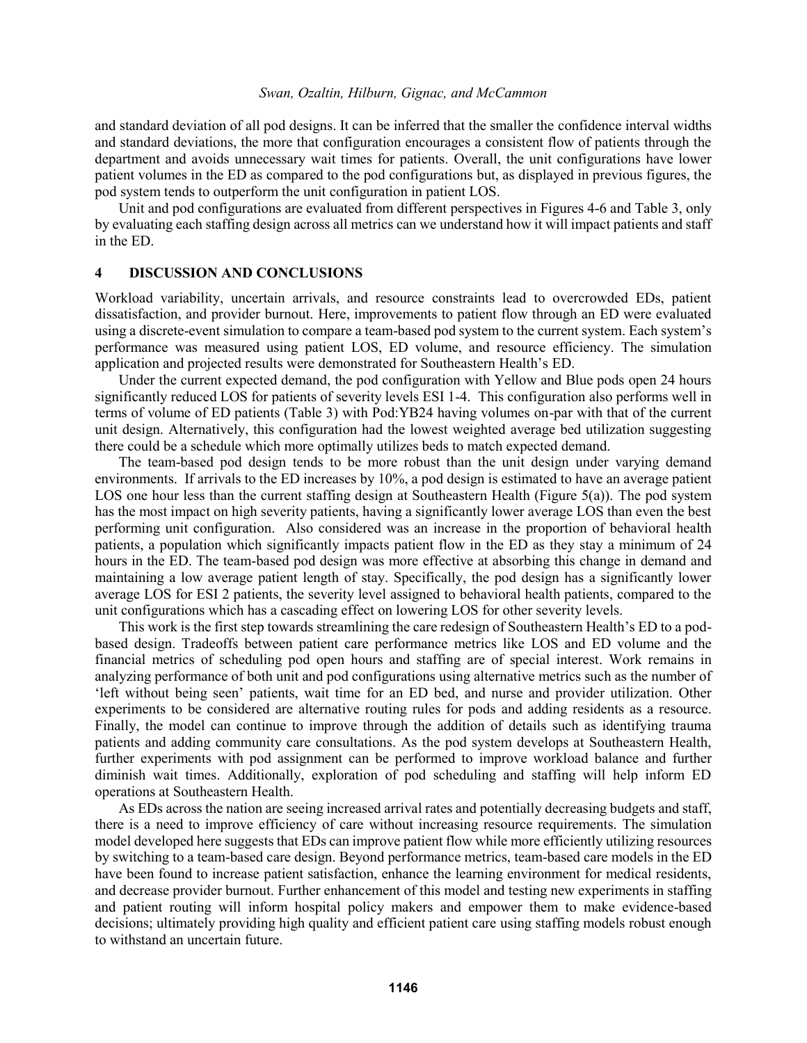#### *Swan, Ozaltin, Hilburn, Gignac, and McCammon*

and standard deviation of all pod designs. It can be inferred that the smaller the confidence interval widths and standard deviations, the more that configuration encourages a consistent flow of patients through the department and avoids unnecessary wait times for patients. Overall, the unit configurations have lower patient volumes in the ED as compared to the pod configurations but, as displayed in previous figures, the pod system tends to outperform the unit configuration in patient LOS.

Unit and pod configurations are evaluated from different perspectives in Figures 4-6 and Table 3, only by evaluating each staffing design across all metrics can we understand how it will impact patients and staff in the ED.

### **4 DISCUSSION AND CONCLUSIONS**

Workload variability, uncertain arrivals, and resource constraints lead to overcrowded EDs, patient dissatisfaction, and provider burnout. Here, improvements to patient flow through an ED were evaluated using a discrete-event simulation to compare a team-based pod system to the current system. Each system's performance was measured using patient LOS, ED volume, and resource efficiency. The simulation application and projected results were demonstrated for Southeastern Health's ED.

Under the current expected demand, the pod configuration with Yellow and Blue pods open 24 hours significantly reduced LOS for patients of severity levels ESI 1-4. This configuration also performs well in terms of volume of ED patients (Table 3) with Pod:YB24 having volumes on-par with that of the current unit design. Alternatively, this configuration had the lowest weighted average bed utilization suggesting there could be a schedule which more optimally utilizes beds to match expected demand.

The team-based pod design tends to be more robust than the unit design under varying demand environments. If arrivals to the ED increases by 10%, a pod design is estimated to have an average patient LOS one hour less than the current staffing design at Southeastern Health (Figure 5(a)). The pod system has the most impact on high severity patients, having a significantly lower average LOS than even the best performing unit configuration. Also considered was an increase in the proportion of behavioral health patients, a population which significantly impacts patient flow in the ED as they stay a minimum of 24 hours in the ED. The team-based pod design was more effective at absorbing this change in demand and maintaining a low average patient length of stay. Specifically, the pod design has a significantly lower average LOS for ESI 2 patients, the severity level assigned to behavioral health patients, compared to the unit configurations which has a cascading effect on lowering LOS for other severity levels.

This work is the first step towards streamlining the care redesign of Southeastern Health's ED to a podbased design. Tradeoffs between patient care performance metrics like LOS and ED volume and the financial metrics of scheduling pod open hours and staffing are of special interest. Work remains in analyzing performance of both unit and pod configurations using alternative metrics such as the number of 'left without being seen' patients, wait time for an ED bed, and nurse and provider utilization. Other experiments to be considered are alternative routing rules for pods and adding residents as a resource. Finally, the model can continue to improve through the addition of details such as identifying trauma patients and adding community care consultations. As the pod system develops at Southeastern Health, further experiments with pod assignment can be performed to improve workload balance and further diminish wait times. Additionally, exploration of pod scheduling and staffing will help inform ED operations at Southeastern Health.

As EDs across the nation are seeing increased arrival rates and potentially decreasing budgets and staff, there is a need to improve efficiency of care without increasing resource requirements. The simulation model developed here suggests that EDs can improve patient flow while more efficiently utilizing resources by switching to a team-based care design. Beyond performance metrics, team-based care models in the ED have been found to increase patient satisfaction, enhance the learning environment for medical residents, and decrease provider burnout. Further enhancement of this model and testing new experiments in staffing and patient routing will inform hospital policy makers and empower them to make evidence-based decisions; ultimately providing high quality and efficient patient care using staffing models robust enough to withstand an uncertain future.